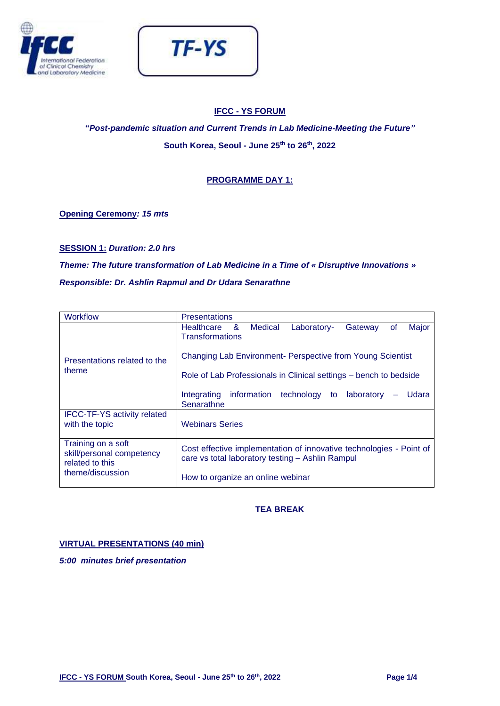



## **IFCC - YS FORUM**

**"***Post-pandemic situation and Current Trends in Lab Medicine-Meeting the Future"* **South Korea, Seoul - June 25th to 26th, 2022**

## **PROGRAMME DAY 1:**

**Opening Ceremony***: 15 mts*

**SESSION 1:** *Duration: 2.0 hrs*

*Theme: The future transformation of Lab Medicine in a Time of « Disruptive Innovations » Responsible: Dr. Ashlin Rapmul and Dr Udara Senarathne*

| Workflow                                                                               | <b>Presentations</b>                                                                                                    |  |  |
|----------------------------------------------------------------------------------------|-------------------------------------------------------------------------------------------------------------------------|--|--|
| Presentations related to the<br>theme                                                  | Healthcare<br>- & -<br>Major<br>Medical<br>Laboratory-<br>Gateway<br><b>of</b><br><b>Transformations</b>                |  |  |
|                                                                                        | Changing Lab Environment- Perspective from Young Scientist                                                              |  |  |
|                                                                                        | Role of Lab Professionals in Clinical settings – bench to bedside                                                       |  |  |
|                                                                                        | Integrating information technology to laboratory<br>Udara<br>Senarathne                                                 |  |  |
| <b>IFCC-TF-YS activity related</b><br>with the topic                                   | <b>Webinars Series</b>                                                                                                  |  |  |
| Training on a soft<br>skill/personal competency<br>related to this<br>theme/discussion | Cost effective implementation of innovative technologies - Point of<br>care vs total laboratory testing - Ashlin Rampul |  |  |
|                                                                                        | How to organize an online webinar                                                                                       |  |  |

# **TEA BREAK**

## **VIRTUAL PRESENTATIONS (40 min)**

*5:00 minutes brief presentation*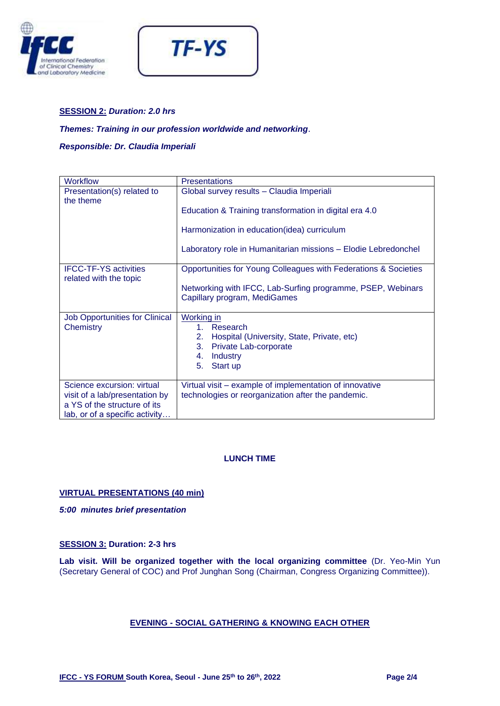



### **SESSION 2:** *Duration: 2.0 hrs*

### *Themes: Training in our profession worldwide and networking*.

*Responsible: Dr. Claudia Imperiali*

| <b>Workflow</b>                                        | <b>Presentations</b>                                                                        |
|--------------------------------------------------------|---------------------------------------------------------------------------------------------|
| Presentation(s) related to<br>the theme                | Global survey results - Claudia Imperiali                                                   |
|                                                        | Education & Training transformation in digital era 4.0                                      |
|                                                        | Harmonization in education(idea) curriculum                                                 |
|                                                        | Laboratory role in Humanitarian missions - Elodie Lebredonchel                              |
| <b>IFCC-TF-YS activities</b><br>related with the topic | Opportunities for Young Colleagues with Federations & Societies                             |
|                                                        | Networking with IFCC, Lab-Surfing programme, PSEP, Webinars<br>Capillary program, MediGames |
| <b>Job Opportunities for Clinical</b>                  | Working in                                                                                  |
| Chemistry                                              | 1. Research                                                                                 |
|                                                        | Hospital (University, State, Private, etc)<br>2.                                            |
|                                                        | 3.<br>Private Lab-corporate<br><b>Industry</b><br>4.                                        |
|                                                        | 5.<br>Start up                                                                              |
|                                                        |                                                                                             |
| Science excursion: virtual                             | Virtual visit – example of implementation of innovative                                     |
| visit of a lab/presentation by                         | technologies or reorganization after the pandemic.                                          |
| a YS of the structure of its                           |                                                                                             |
| lab, or of a specific activity                         |                                                                                             |

### **LUNCH TIME**

### **VIRTUAL PRESENTATIONS (40 min)**

*5:00 minutes brief presentation* 

#### **SESSION 3: Duration: 2-3 hrs**

**Lab visit. Will be organized together with the local organizing committee** (Dr. Yeo-Min Yun (Secretary General of COC) and Prof Junghan Song (Chairman, Congress Organizing Committee)).

### **EVENING - SOCIAL GATHERING & KNOWING EACH OTHER**